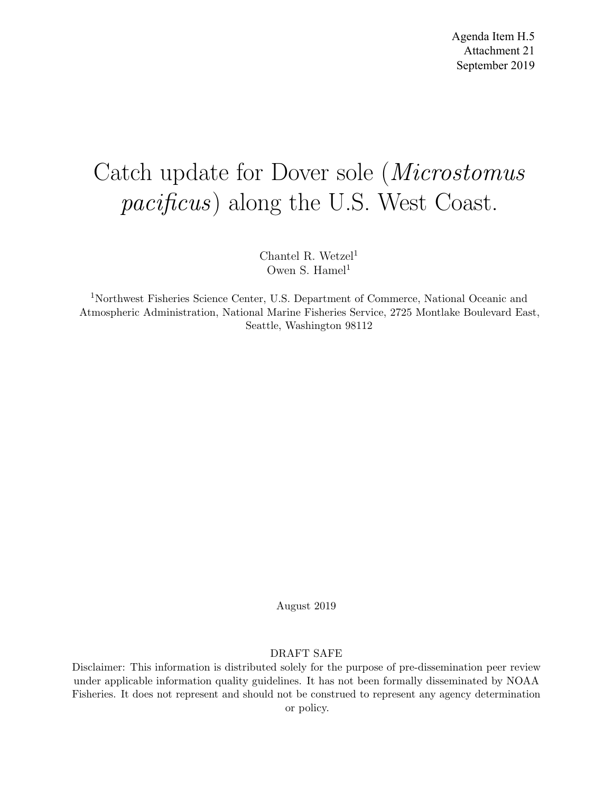# Catch update for Dover sole (Microstomus pacificus) along the U.S. West Coast.

Chantel R. Wetzel<sup>1</sup> Owen S. Hamel<sup>1</sup>

<sup>1</sup>Northwest Fisheries Science Center, U.S. Department of Commerce, National Oceanic and Atmospheric Administration, National Marine Fisheries Service, 2725 Montlake Boulevard East, Seattle, Washington 98112

August 2019

#### DRAFT SAFE

Disclaimer: This information is distributed solely for the purpose of pre-dissemination peer review under applicable information quality guidelines. It has not been formally disseminated by NOAA Fisheries. It does not represent and should not be construed to represent any agency determination or policy.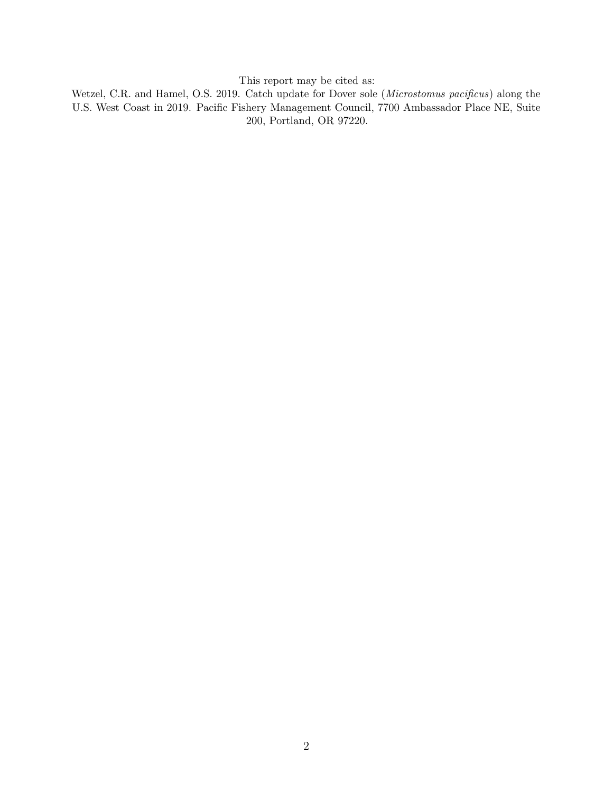This report may be cited as:

Wetzel, C.R. and Hamel, O.S. 2019. Catch update for Dover sole (Microstomus pacificus) along the U.S. West Coast in 2019. Pacific Fishery Management Council, 7700 Ambassador Place NE, Suite 200, Portland, OR 97220.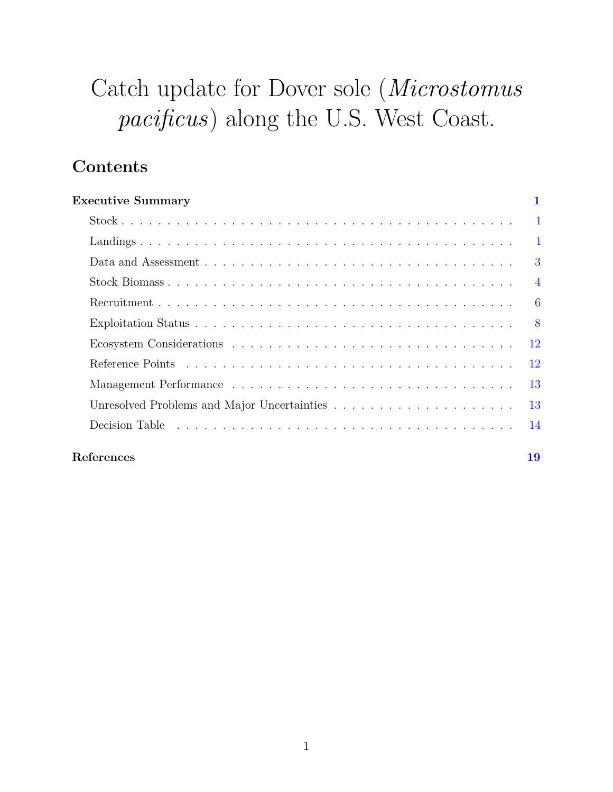# Catch update for Dover sole (Microstomus pacificus) along the U.S. West Coast.

## Contents

| <b>Executive Summary</b> |                |
|--------------------------|----------------|
|                          | $\mathbf{1}$   |
|                          | $\mathbf{1}$   |
|                          | 3              |
|                          | $\overline{4}$ |
|                          | 6              |
|                          | 8              |
|                          | <sup>12</sup>  |
|                          | 12             |
|                          | 13             |
|                          | 13             |
|                          | 14             |
| References               | 19             |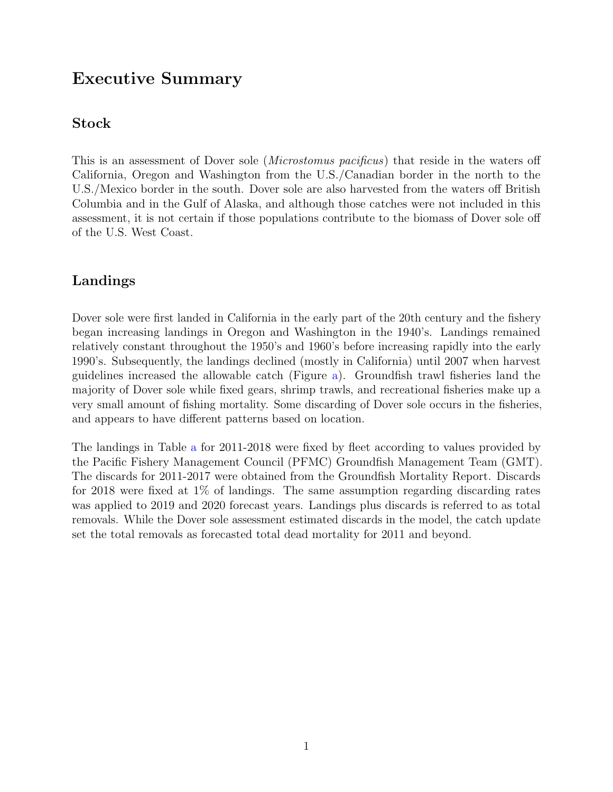## <span id="page-3-0"></span>Executive Summary

#### <span id="page-3-1"></span>Stock

This is an assessment of Dover sole (Microstomus pacificus) that reside in the waters off California, Oregon and Washington from the U.S./Canadian border in the north to the U.S./Mexico border in the south. Dover sole are also harvested from the waters off British Columbia and in the Gulf of Alaska, and although those catches were not included in this assessment, it is not certain if those populations contribute to the biomass of Dover sole off of the U.S. West Coast.

### <span id="page-3-2"></span>Landings

Dover sole were first landed in California in the early part of the 20th century and the fishery began increasing landings in Oregon and Washington in the 1940's. Landings remained relatively constant throughout the 1950's and 1960's before increasing rapidly into the early 1990's. Subsequently, the landings declined (mostly in California) until 2007 when harvest guidelines increased the allowable catch (Figure [a\)](#page-4-0). Groundfish trawl fisheries land the majority of Dover sole while fixed gears, shrimp trawls, and recreational fisheries make up a very small amount of fishing mortality. Some discarding of Dover sole occurs in the fisheries, and appears to have different patterns based on location.

The landings in Table [a](#page-4-1) for 2011-2018 were fixed by fleet according to values provided by the Pacific Fishery Management Council (PFMC) Groundfish Management Team (GMT). The discards for 2011-2017 were obtained from the Groundfish Mortality Report. Discards for 2018 were fixed at 1% of landings. The same assumption regarding discarding rates was applied to 2019 and 2020 forecast years. Landings plus discards is referred to as total removals. While the Dover sole assessment estimated discards in the model, the catch update set the total removals as forecasted total dead mortality for 2011 and beyond.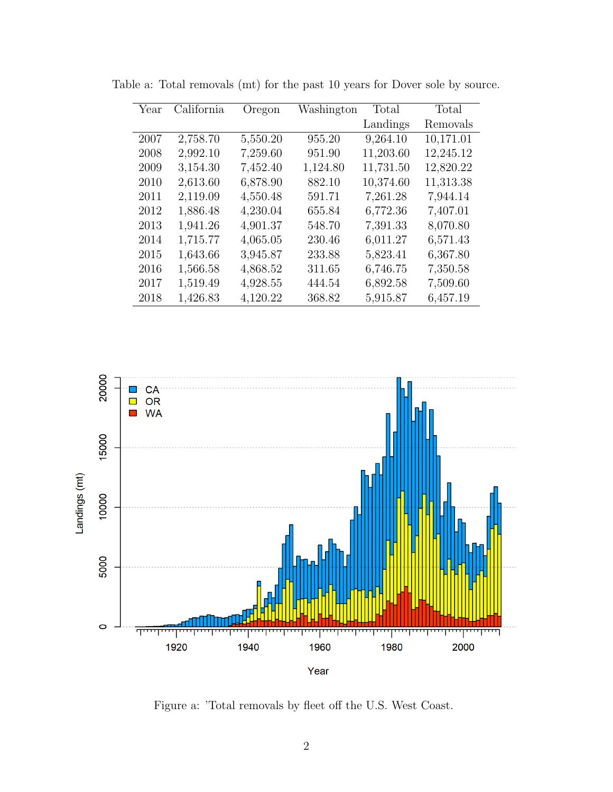| Year | California | Oregon   | Washington | Total     | Total     |
|------|------------|----------|------------|-----------|-----------|
|      |            |          |            | Landings  | Removals  |
| 2007 | 2,758.70   | 5,550.20 | 955.20     | 9,264.10  | 10,171.01 |
| 2008 | 2,992.10   | 7,259.60 | 951.90     | 11,203.60 | 12,245.12 |
| 2009 | 3,154.30   | 7,452.40 | 1,124.80   | 11,731.50 | 12,820.22 |
| 2010 | 2,613.60   | 6,878.90 | 882.10     | 10,374.60 | 11,313.38 |
| 2011 | 2,119.09   | 4,550.48 | 591.71     | 7,261.28  | 7,944.14  |
| 2012 | 1,886.48   | 4,230.04 | 655.84     | 6,772.36  | 7,407.01  |
| 2013 | 1,941.26   | 4,901.37 | 548.70     | 7,391.33  | 8,070.80  |
| 2014 | 1,715.77   | 4,065.05 | 230.46     | 6,011.27  | 6,571.43  |
| 2015 | 1,643.66   | 3,945.87 | 233.88     | 5,823.41  | 6,367.80  |
| 2016 | 1,566.58   | 4,868.52 | 311.65     | 6,746.75  | 7,350.58  |
| 2017 | 1,519.49   | 4,928.55 | 444.54     | 6,892.58  | 7,509.60  |
| 2018 | 1,426.83   | 4,120.22 | 368.82     | 5,915.87  | 6,457.19  |

<span id="page-4-1"></span>Table a: Total removals (mt) for the past 10 years for Dover sole by source.

<span id="page-4-0"></span>

Figure a: 'Total removals by fleet off the U.S. West Coast.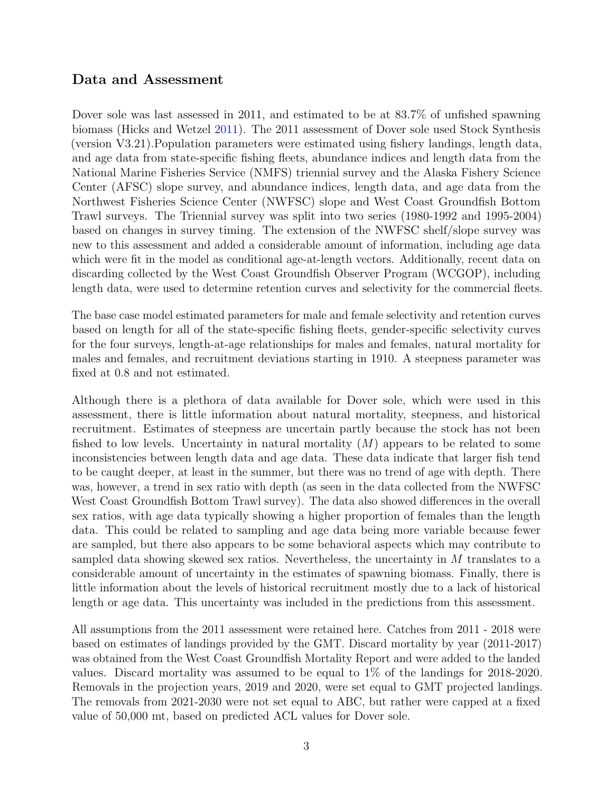#### <span id="page-5-0"></span>Data and Assessment

Dover sole was last assessed in 2011, and estimated to be at 83.7% of unfished spawning biomass (Hicks and Wetzel [2011\)](#page-21-1). The 2011 assessment of Dover sole used Stock Synthesis (version V3.21).Population parameters were estimated using fishery landings, length data, and age data from state-specific fishing fleets, abundance indices and length data from the National Marine Fisheries Service (NMFS) triennial survey and the Alaska Fishery Science Center (AFSC) slope survey, and abundance indices, length data, and age data from the Northwest Fisheries Science Center (NWFSC) slope and West Coast Groundfish Bottom Trawl surveys. The Triennial survey was split into two series (1980-1992 and 1995-2004) based on changes in survey timing. The extension of the NWFSC shelf/slope survey was new to this assessment and added a considerable amount of information, including age data which were fit in the model as conditional age-at-length vectors. Additionally, recent data on discarding collected by the West Coast Groundfish Observer Program (WCGOP), including length data, were used to determine retention curves and selectivity for the commercial fleets.

The base case model estimated parameters for male and female selectivity and retention curves based on length for all of the state-specific fishing fleets, gender-specific selectivity curves for the four surveys, length-at-age relationships for males and females, natural mortality for males and females, and recruitment deviations starting in 1910. A steepness parameter was fixed at 0.8 and not estimated.

Although there is a plethora of data available for Dover sole, which were used in this assessment, there is little information about natural mortality, steepness, and historical recruitment. Estimates of steepness are uncertain partly because the stock has not been fished to low levels. Uncertainty in natural mortality  $(M)$  appears to be related to some inconsistencies between length data and age data. These data indicate that larger fish tend to be caught deeper, at least in the summer, but there was no trend of age with depth. There was, however, a trend in sex ratio with depth (as seen in the data collected from the NWFSC West Coast Groundfish Bottom Trawl survey). The data also showed differences in the overall sex ratios, with age data typically showing a higher proportion of females than the length data. This could be related to sampling and age data being more variable because fewer are sampled, but there also appears to be some behavioral aspects which may contribute to sampled data showing skewed sex ratios. Nevertheless, the uncertainty in  $M$  translates to a considerable amount of uncertainty in the estimates of spawning biomass. Finally, there is little information about the levels of historical recruitment mostly due to a lack of historical length or age data. This uncertainty was included in the predictions from this assessment.

All assumptions from the 2011 assessment were retained here. Catches from 2011 - 2018 were based on estimates of landings provided by the GMT. Discard mortality by year (2011-2017) was obtained from the West Coast Groundfish Mortality Report and were added to the landed values. Discard mortality was assumed to be equal to 1% of the landings for 2018-2020. Removals in the projection years, 2019 and 2020, were set equal to GMT projected landings. The removals from 2021-2030 were not set equal to ABC, but rather were capped at a fixed value of 50,000 mt, based on predicted ACL values for Dover sole.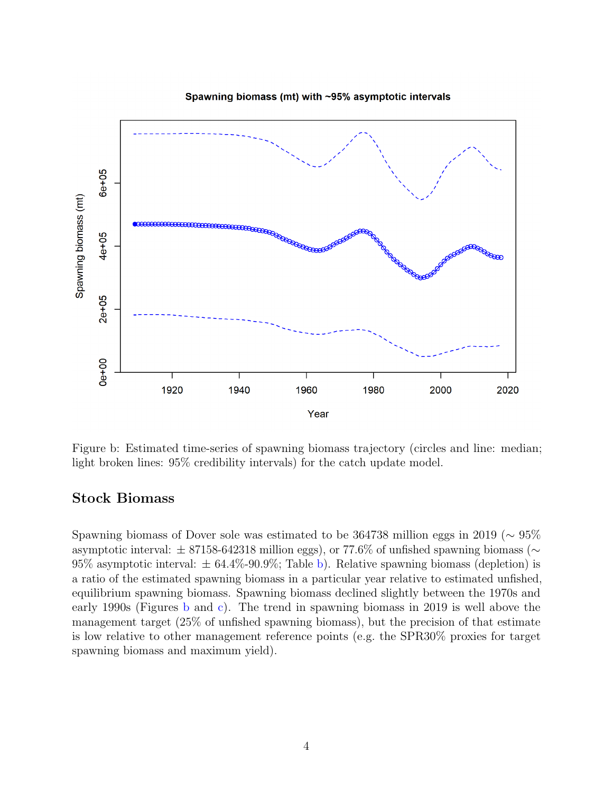<span id="page-6-1"></span>

Spawning biomass (mt) with ~95% asymptotic intervals

Figure b: Estimated time-series of spawning biomass trajectory (circles and line: median; light broken lines: 95% credibility intervals) for the catch update model.

#### <span id="page-6-0"></span>Stock Biomass

Spawning biomass of Dover sole was estimated to be 364738 million eggs in 2019 ( $\sim$  95% asymptotic interval:  $\pm$  87158-642318 million eggs), or 77.6% of unfished spawning biomass ( $\sim$ 95% asymptotic interval:  $\pm$  64.4%-90.9%; Table [b\)](#page-8-1). Relative spawning biomass (depletion) is a ratio of the estimated spawning biomass in a particular year relative to estimated unfished, equilibrium spawning biomass. Spawning biomass declined slightly between the 1970s and early 1990s (Figures [b](#page-6-1) and [c\)](#page-7-0). The trend in spawning biomass in 2019 is well above the management target (25% of unfished spawning biomass), but the precision of that estimate is low relative to other management reference points (e.g. the SPR30% proxies for target spawning biomass and maximum yield).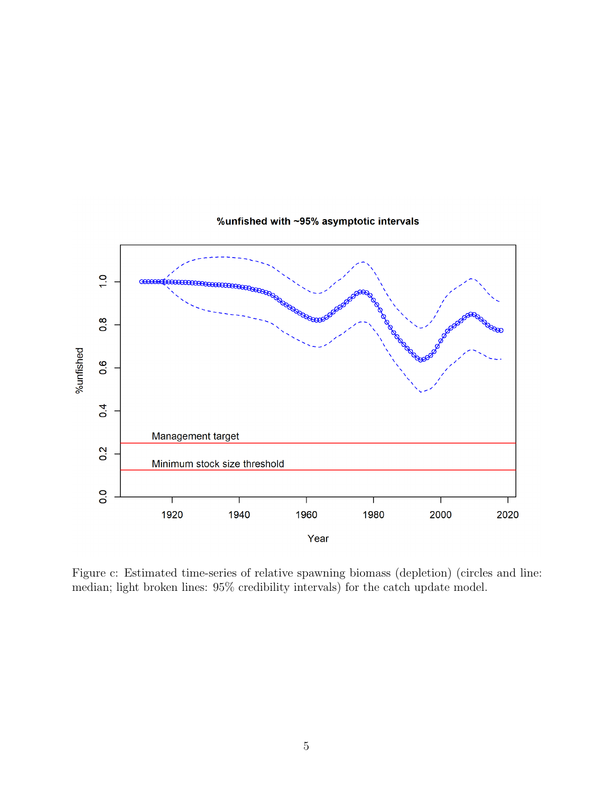<span id="page-7-0"></span>

#### %unfished with ~95% asymptotic intervals

Figure c: Estimated time-series of relative spawning biomass (depletion) (circles and line: median; light broken lines: 95% credibility intervals) for the catch update model.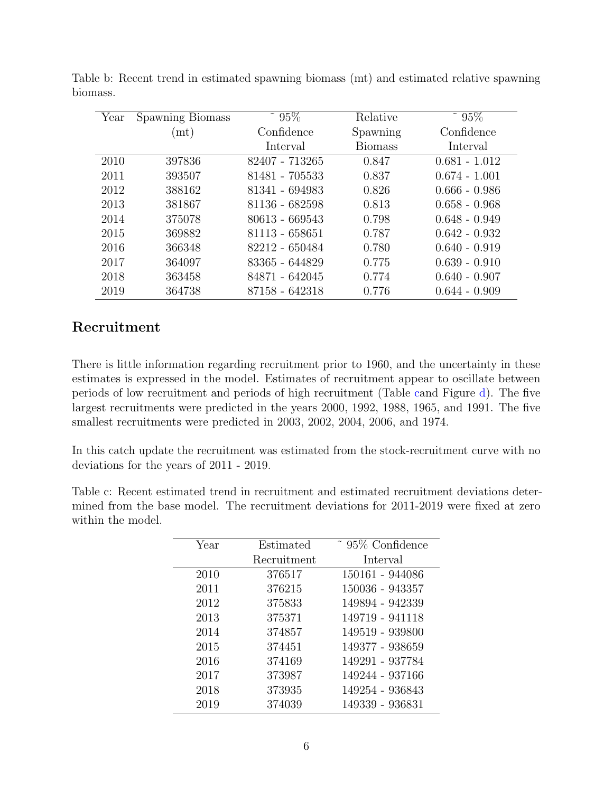<span id="page-8-1"></span>

| Year | Spawning Biomass | $~^{\circ}$ 95% | Relative       | $~^{\circ}$ 95% |
|------|------------------|-----------------|----------------|-----------------|
|      | (m t)            | Confidence      | Spawning       | Confidence      |
|      |                  | Interval        | <b>Biomass</b> | Interval        |
| 2010 | 397836           | 82407 - 713265  | 0.847          | $0.681 - 1.012$ |
| 2011 | 393507           | 81481 - 705533  | 0.837          | $0.674 - 1.001$ |
| 2012 | 388162           | 81341 - 694983  | 0.826          | $0.666 - 0.986$ |
| 2013 | 381867           | 81136 - 682598  | 0.813          | $0.658 - 0.968$ |
| 2014 | 375078           | 80613 - 669543  | 0.798          | $0.648 - 0.949$ |
| 2015 | 369882           | 81113 - 658651  | 0.787          | $0.642 - 0.932$ |
| 2016 | 366348           | 82212 - 650484  | 0.780          | $0.640 - 0.919$ |
| 2017 | 364097           | 83365 - 644829  | 0.775          | $0.639 - 0.910$ |
| 2018 | 363458           | 84871 - 642045  | 0.774          | $0.640 - 0.907$ |
| 2019 | 364738           | 87158 - 642318  | 0.776          | $0.644 - 0.909$ |

Table b: Recent trend in estimated spawning biomass (mt) and estimated relative spawning biomass.

### <span id="page-8-0"></span>Recruitment

There is little information regarding recruitment prior to 1960, and the uncertainty in these estimates is expressed in the model. Estimates of recruitment appear to oscillate between periods of low recruitment and periods of high recruitment (Table [ca](#page-8-2)nd Figure [d\)](#page-9-0). The five largest recruitments were predicted in the years 2000, 1992, 1988, 1965, and 1991. The five smallest recruitments were predicted in 2003, 2002, 2004, 2006, and 1974.

In this catch update the recruitment was estimated from the stock-recruitment curve with no deviations for the years of 2011 - 2019.

<span id="page-8-2"></span>Table c: Recent estimated trend in recruitment and estimated recruitment deviations determined from the base model. The recruitment deviations for 2011-2019 were fixed at zero within the model.

| Year | Estimated   | ~ 95\% Confidence |
|------|-------------|-------------------|
|      | Recruitment | Interval          |
| 2010 | 376517      | 150161 - 944086   |
| 2011 | 376215      | 150036 - 943357   |
| 2012 | 375833      | 149894 - 942339   |
| 2013 | 375371      | 149719 - 941118   |
| 2014 | 374857      | 149519 - 939800   |
| 2015 | 374451      | 149377 - 938659   |
| 2016 | 374169      | 149291 - 937784   |
| 2017 | 373987      | 149244 - 937166   |
| 2018 | 373935      | 149254 - 936843   |
| 2019 | 374039      | 149339 - 936831   |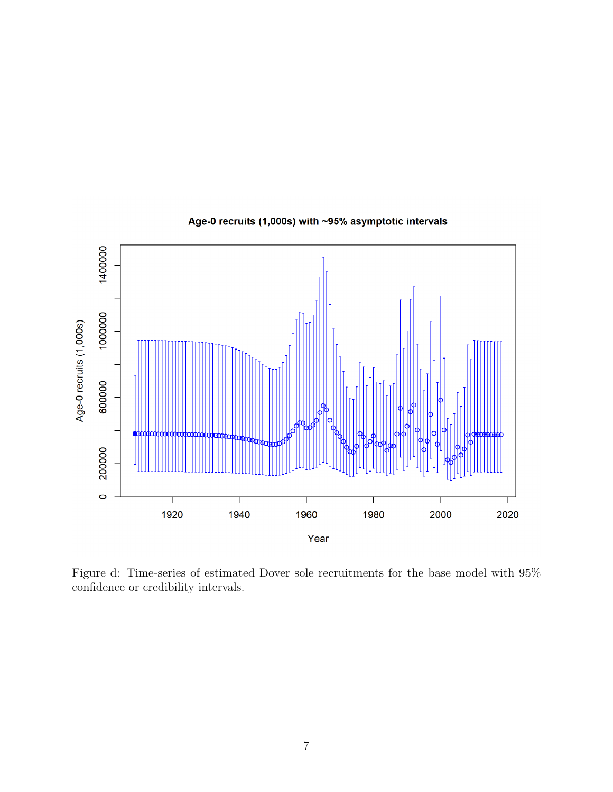<span id="page-9-0"></span>

#### Age-0 recruits (1,000s) with ~95% asymptotic intervals

Figure d: Time-series of estimated Dover sole recruitments for the base model with 95% confidence or credibility intervals.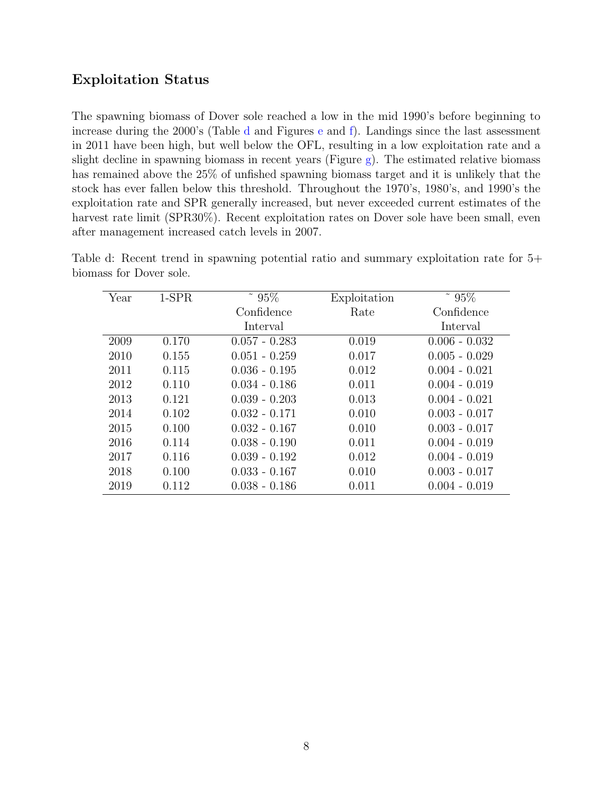#### <span id="page-10-0"></span>Exploitation Status

The spawning biomass of Dover sole reached a low in the mid 1990's before beginning to increase during the 2000's (Table [d](#page-10-1) and Figures [e](#page-11-0) and [f\)](#page-12-0). Landings since the last assessment in 2011 have been high, but well below the OFL, resulting in a low exploitation rate and a slight decline in spawning biomass in recent years (Figure [g\)](#page-13-0). The estimated relative biomass has remained above the 25% of unfished spawning biomass target and it is unlikely that the stock has ever fallen below this threshold. Throughout the 1970's, 1980's, and 1990's the exploitation rate and SPR generally increased, but never exceeded current estimates of the harvest rate limit (SPR30%). Recent exploitation rates on Dover sole have been small, even after management increased catch levels in 2007.

<span id="page-10-1"></span>

| $1-SPR$ | $~^{\circ}$ 95% | Exploitation | $~^{\circ}$ 95% |
|---------|-----------------|--------------|-----------------|
|         | Confidence      | Rate         | Confidence      |
|         | Interval        |              | Interval        |
| 0.170   | $0.057 - 0.283$ | 0.019        | $0.006 - 0.032$ |
| 0.155   | $0.051 - 0.259$ | 0.017        | $0.005 - 0.029$ |
| 0.115   | $0.036 - 0.195$ | 0.012        | $0.004 - 0.021$ |
| 0.110   | $0.034 - 0.186$ | 0.011        | $0.004 - 0.019$ |
| 0.121   | $0.039 - 0.203$ | 0.013        | $0.004 - 0.021$ |
| 0.102   | $0.032 - 0.171$ | 0.010        | $0.003 - 0.017$ |
| 0.100   | $0.032 - 0.167$ | 0.010        | $0.003 - 0.017$ |
| 0.114   | $0.038 - 0.190$ | 0.011        | $0.004 - 0.019$ |
| 0.116   | $0.039 - 0.192$ | 0.012        | $0.004 - 0.019$ |
| 0.100   | $0.033 - 0.167$ | 0.010        | $0.003 - 0.017$ |
| 0.112   | $0.038 - 0.186$ | 0.011        | $0.004 - 0.019$ |
|         |                 |              |                 |

Table d: Recent trend in spawning potential ratio and summary exploitation rate for 5+ biomass for Dover sole.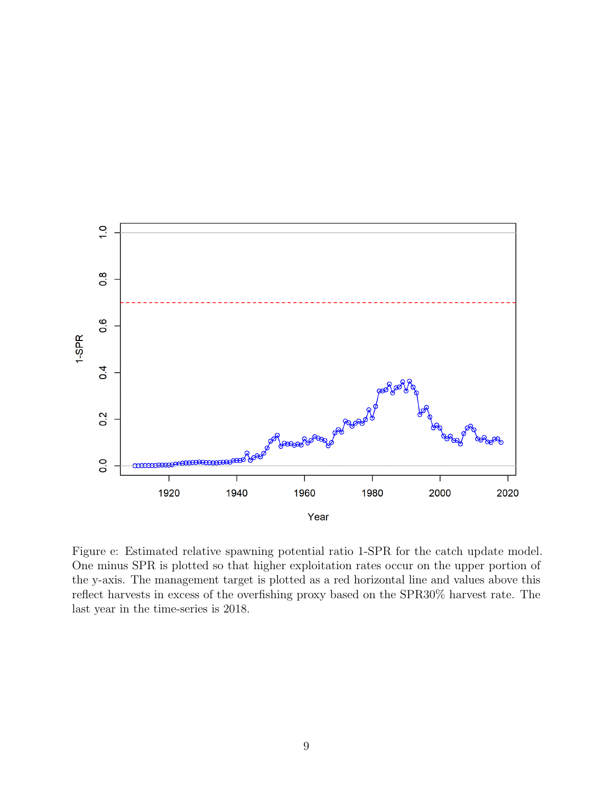<span id="page-11-0"></span>

Figure e: Estimated relative spawning potential ratio 1-SPR for the catch update model. One minus SPR is plotted so that higher exploitation rates occur on the upper portion of the y-axis. The management target is plotted as a red horizontal line and values above this reflect harvests in excess of the overfishing proxy based on the SPR30% harvest rate. The last year in the time-series is 2018.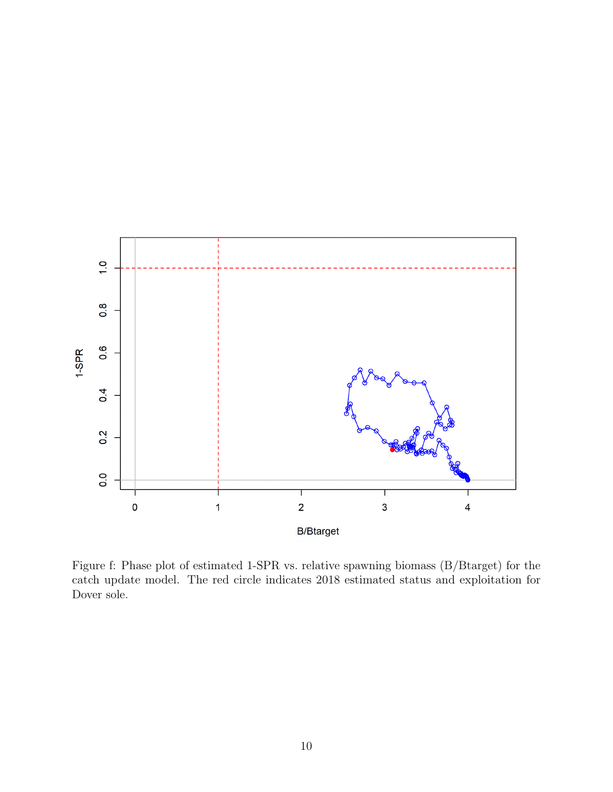<span id="page-12-0"></span>

Figure f: Phase plot of estimated 1-SPR vs. relative spawning biomass (B/Btarget) for the catch update model. The red circle indicates 2018 estimated status and exploitation for Dover sole.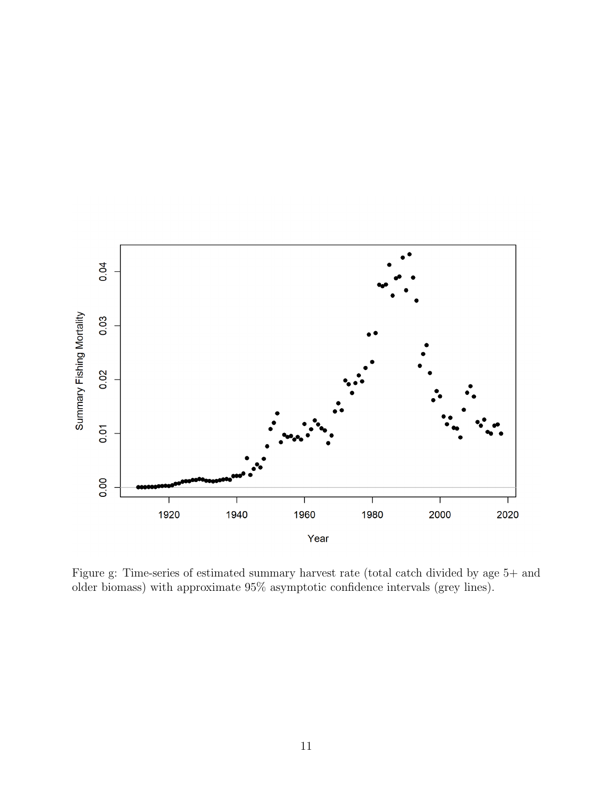<span id="page-13-0"></span>

Figure g: Time-series of estimated summary harvest rate (total catch divided by age 5+ and older biomass) with approximate 95% asymptotic confidence intervals (grey lines).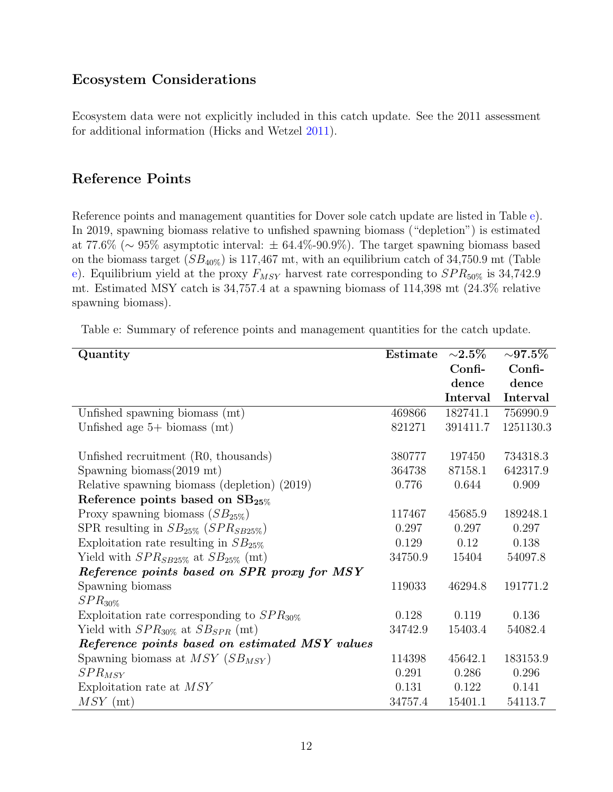## <span id="page-14-0"></span>Ecosystem Considerations

Ecosystem data were not explicitly included in this catch update. See the 2011 assessment for additional information (Hicks and Wetzel [2011\)](#page-21-1).

#### <span id="page-14-1"></span>Reference Points

Reference points and management quantities for Dover sole catch update are listed in Table [e\)](#page-14-2). In 2019, spawning biomass relative to unfished spawning biomass ("depletion") is estimated at 77.6% ( $\sim$  95% asymptotic interval:  $\pm$  64.4%-90.9%). The target spawning biomass based on the biomass target  $(SB_{40\%})$  is 117,467 mt, with an equilibrium catch of 34,750.9 mt (Table [e\)](#page-14-2). Equilibrium yield at the proxy  $F_{MSY}$  harvest rate corresponding to  $SPR_{50\%}$  is 34,742.9 mt. Estimated MSY catch is 34,757.4 at a spawning biomass of 114,398 mt (24.3% relative spawning biomass).

Table e: Summary of reference points and management quantities for the catch update.

<span id="page-14-2"></span>

| Quantity                                        | Estimate | ${\sim}2.5\%$ | ${\sim}97.5\%$ |
|-------------------------------------------------|----------|---------------|----------------|
|                                                 |          | $Confi$ -     | $Confi$ -      |
|                                                 |          | dence         | dence          |
|                                                 |          | Interval      | Interval       |
| Unfished spawning biomass (mt)                  | 469866   | 182741.1      | 756990.9       |
| Unfished age $5+$ biomass (mt)                  | 821271   | 391411.7      | 1251130.3      |
| Unfished recruitment (R0, thousands)            | 380777   | 197450        | 734318.3       |
| Spawning biomass $(2019 \text{ mt})$            | 364738   | 87158.1       | 642317.9       |
| Relative spawning biomass (depletion) (2019)    | 0.776    | 0.644         | 0.909          |
| Reference points based on $SB_{25\%}$           |          |               |                |
| Proxy spawning biomass $(SB_{25\%})$            | 117467   | 45685.9       | 189248.1       |
| SPR resulting in $SB_{25\%}$ ( $SPR_{SB25\%}$ ) | 0.297    | 0.297         | 0.297          |
| Exploitation rate resulting in $SB_{25\%}$      | 0.129    | 0.12          | 0.138          |
| Yield with $SPR_{SB25\%}$ at $SB_{25\%}$ (mt)   | 34750.9  | 15404         | 54097.8        |
| Reference points based on SPR proxy for MSY     |          |               |                |
| Spawning biomass                                | 119033   | 46294.8       | 191771.2       |
| $SPR_{30\%}$                                    |          |               |                |
| Exploitation rate corresponding to $SPR_{30\%}$ | 0.128    | 0.119         | 0.136          |
| Yield with $SPR_{30\%}$ at $SB_{SPR}$ (mt)      | 34742.9  | 15403.4       | 54082.4        |
| Reference points based on estimated MSY values  |          |               |                |
| Spawning biomass at $MSY(SB_{MSY})$             | 114398   | 45642.1       | 183153.9       |
| $SPR_{MSY}$                                     | 0.291    | 0.286         | 0.296          |
| Exploitation rate at MSY                        | 0.131    | 0.122         | 0.141          |
| $MSY$ (mt)                                      | 34757.4  | 15401.1       | 54113.7        |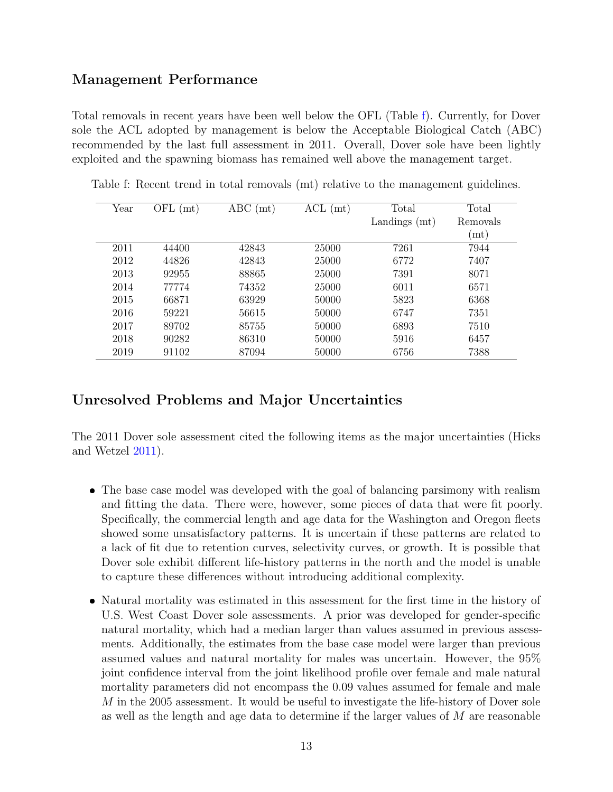#### <span id="page-15-0"></span>Management Performance

Total removals in recent years have been well below the OFL (Table [f\)](#page-15-2). Currently, for Dover sole the ACL adopted by management is below the Acceptable Biological Catch (ABC) recommended by the last full assessment in 2011. Overall, Dover sole have been lightly exploited and the spawning biomass has remained well above the management target.

<span id="page-15-2"></span>

| Year | OFL<br>(mt) | ABC<br>(mt) | $\mathop{\rm ACL}\nolimits$<br>(mt) | Total         | Total                |
|------|-------------|-------------|-------------------------------------|---------------|----------------------|
|      |             |             |                                     | Landings (mt) | <b>Removals</b>      |
|      |             |             |                                     |               | $\left( m t \right)$ |
| 2011 | 44400       | 42843       | 25000                               | 7261          | 7944                 |
| 2012 | 44826       | 42843       | 25000                               | 6772          | 7407                 |
| 2013 | 92955       | 88865       | 25000                               | 7391          | 8071                 |
| 2014 | 77774       | 74352       | 25000                               | 6011          | 6571                 |
| 2015 | 66871       | 63929       | 50000                               | 5823          | 6368                 |
| 2016 | 59221       | 56615       | 50000                               | 6747          | 7351                 |
| 2017 | 89702       | 85755       | 50000                               | 6893          | 7510                 |
| 2018 | 90282       | 86310       | 50000                               | 5916          | 6457                 |
| 2019 | 91102       | 87094       | 50000                               | 6756          | 7388                 |

Table f: Recent trend in total removals (mt) relative to the management guidelines.

#### <span id="page-15-1"></span>Unresolved Problems and Major Uncertainties

The 2011 Dover sole assessment cited the following items as the major uncertainties (Hicks and Wetzel [2011\)](#page-21-1).

- The base case model was developed with the goal of balancing parsimony with realism and fitting the data. There were, however, some pieces of data that were fit poorly. Specifically, the commercial length and age data for the Washington and Oregon fleets showed some unsatisfactory patterns. It is uncertain if these patterns are related to a lack of fit due to retention curves, selectivity curves, or growth. It is possible that Dover sole exhibit different life-history patterns in the north and the model is unable to capture these differences without introducing additional complexity.
- Natural mortality was estimated in this assessment for the first time in the history of U.S. West Coast Dover sole assessments. A prior was developed for gender-specific natural mortality, which had a median larger than values assumed in previous assessments. Additionally, the estimates from the base case model were larger than previous assumed values and natural mortality for males was uncertain. However, the 95% joint confidence interval from the joint likelihood profile over female and male natural mortality parameters did not encompass the 0.09 values assumed for female and male  $M$  in the 2005 assessment. It would be useful to investigate the life-history of Dover sole as well as the length and age data to determine if the larger values of  $M$  are reasonable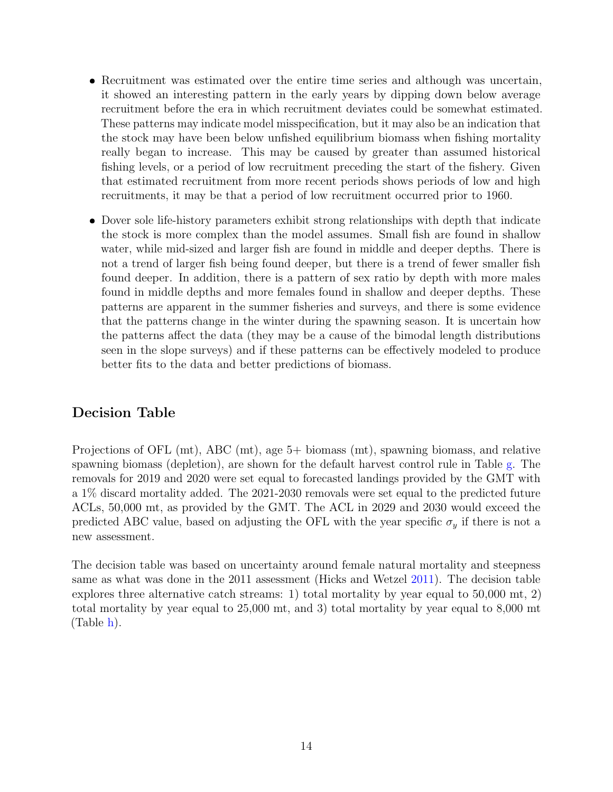- Recruitment was estimated over the entire time series and although was uncertain, it showed an interesting pattern in the early years by dipping down below average recruitment before the era in which recruitment deviates could be somewhat estimated. These patterns may indicate model misspecification, but it may also be an indication that the stock may have been below unfished equilibrium biomass when fishing mortality really began to increase. This may be caused by greater than assumed historical fishing levels, or a period of low recruitment preceding the start of the fishery. Given that estimated recruitment from more recent periods shows periods of low and high recruitments, it may be that a period of low recruitment occurred prior to 1960.
- Dover sole life-history parameters exhibit strong relationships with depth that indicate the stock is more complex than the model assumes. Small fish are found in shallow water, while mid-sized and larger fish are found in middle and deeper depths. There is not a trend of larger fish being found deeper, but there is a trend of fewer smaller fish found deeper. In addition, there is a pattern of sex ratio by depth with more males found in middle depths and more females found in shallow and deeper depths. These patterns are apparent in the summer fisheries and surveys, and there is some evidence that the patterns change in the winter during the spawning season. It is uncertain how the patterns affect the data (they may be a cause of the bimodal length distributions seen in the slope surveys) and if these patterns can be effectively modeled to produce better fits to the data and better predictions of biomass.

#### <span id="page-16-0"></span>Decision Table

Projections of OFL (mt), ABC (mt), age 5+ biomass (mt), spawning biomass, and relative spawning biomass (depletion), are shown for the default harvest control rule in Table [g.](#page-17-0) The removals for 2019 and 2020 were set equal to forecasted landings provided by the GMT with a 1% discard mortality added. The 2021-2030 removals were set equal to the predicted future ACLs, 50,000 mt, as provided by the GMT. The ACL in 2029 and 2030 would exceed the predicted ABC value, based on adjusting the OFL with the year specific  $\sigma_y$  if there is not a new assessment.

The decision table was based on uncertainty around female natural mortality and steepness same as what was done in the 2011 assessment (Hicks and Wetzel [2011\)](#page-21-1). The decision table explores three alternative catch streams: 1) total mortality by year equal to 50,000 mt, 2) total mortality by year equal to 25,000 mt, and 3) total mortality by year equal to 8,000 mt (Table [h\)](#page-18-0).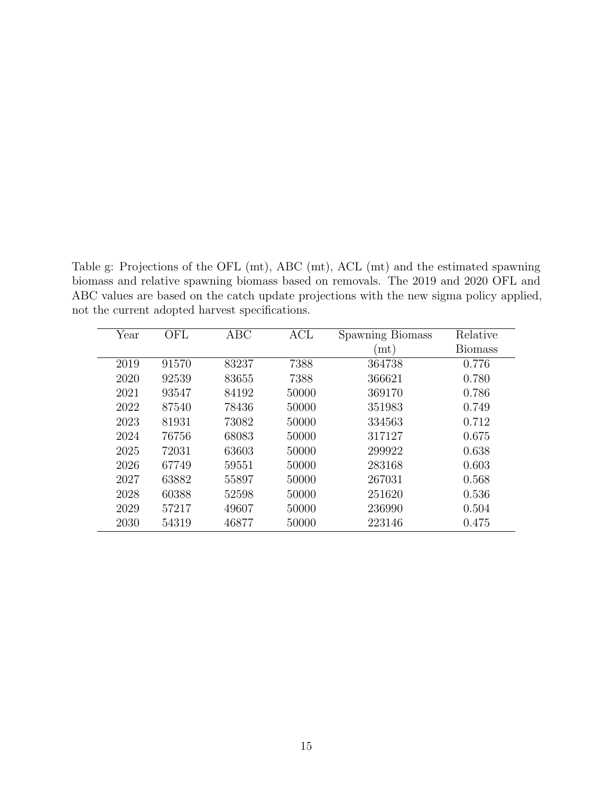Table g: Projections of the OFL (mt), ABC (mt), ACL (mt) and the estimated spawning biomass and relative spawning biomass based on removals. The 2019 and 2020 OFL and ABC values are based on the catch update projections with the new sigma policy applied, not the current adopted harvest specifications.

<span id="page-17-0"></span>

| Year | OFL   | ABC   | ACL   | Spawning Biomass      | Relative       |
|------|-------|-------|-------|-----------------------|----------------|
|      |       |       |       | $\dot{\mathbf{m}}$ t) | <b>Biomass</b> |
| 2019 | 91570 | 83237 | 7388  | 364738                | 0.776          |
| 2020 | 92539 | 83655 | 7388  | 366621                | 0.780          |
| 2021 | 93547 | 84192 | 50000 | 369170                | 0.786          |
| 2022 | 87540 | 78436 | 50000 | 351983                | 0.749          |
| 2023 | 81931 | 73082 | 50000 | 334563                | 0.712          |
| 2024 | 76756 | 68083 | 50000 | 317127                | 0.675          |
| 2025 | 72031 | 63603 | 50000 | 299922                | 0.638          |
| 2026 | 67749 | 59551 | 50000 | 283168                | 0.603          |
| 2027 | 63882 | 55897 | 50000 | 267031                | 0.568          |
| 2028 | 60388 | 52598 | 50000 | 251620                | 0.536          |
| 2029 | 57217 | 49607 | 50000 | 236990                | 0.504          |
| 2030 | 54319 | 46877 | 50000 | 223146                | 0.475          |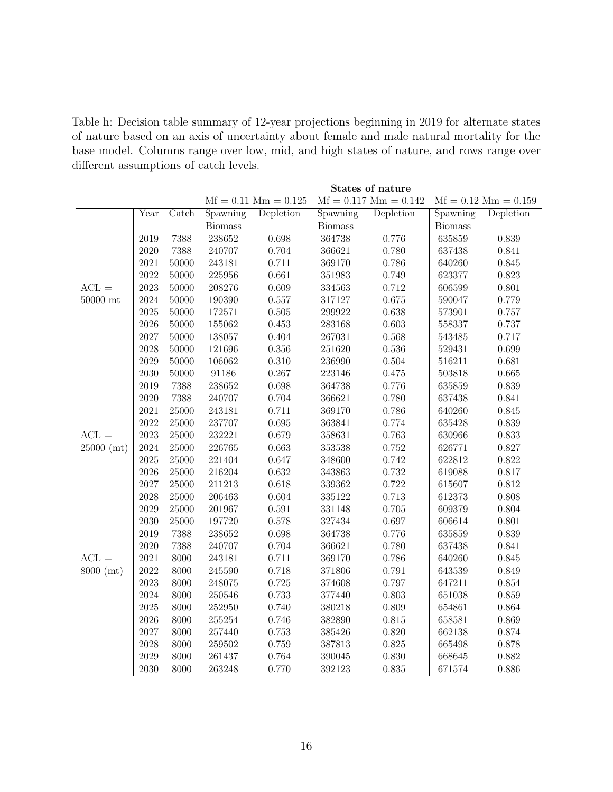Table h: Decision table summary of 12-year projections beginning in 2019 for alternate states of nature based on an axis of uncertainty about female and male natural mortality for the base model. Columns range over low, mid, and high states of nature, and rows range over different assumptions of catch levels.

<span id="page-18-0"></span>

|                      |                             |                           |                |                        |                | States of nature        |                |                        |
|----------------------|-----------------------------|---------------------------|----------------|------------------------|----------------|-------------------------|----------------|------------------------|
|                      |                             |                           |                | $Mf = 0.11$ Mm = 0.125 |                | $Mf = 0.117$ Mm = 0.142 |                | $Mf = 0.12$ Mm = 0.159 |
|                      | $\overline{Y}_{\text{ear}}$ | $\overline{\text{Catch}}$ | Spawning       | Depletion              | Spawning       | Depletion               | Spawning       | Depletion              |
|                      |                             |                           | <b>Biomass</b> |                        | <b>Biomass</b> |                         | <b>Biomass</b> |                        |
|                      | 2019                        | 7388                      | 238652         | 0.698                  | 364738         | 0.776                   | 635859         | 0.839                  |
|                      | 2020                        | 7388                      | 240707         | 0.704                  | 366621         | 0.780                   | 637438         | 0.841                  |
|                      | 2021                        | 50000                     | 243181         | 0.711                  | 369170         | 0.786                   | 640260         | 0.845                  |
|                      | 2022                        | 50000                     | 225956         | 0.661                  | 351983         | 0.749                   | 623377         | 0.823                  |
| $ACL =$              | 2023                        | 50000                     | 208276         | 0.609                  | 334563         | 0.712                   | 606599         | 0.801                  |
| $50000\ \mathrm{mt}$ | 2024                        | 50000                     | 190390         | 0.557                  | 317127         | 0.675                   | 590047         | 0.779                  |
|                      | 2025                        | 50000                     | 172571         | $0.505\,$              | 299922         | 0.638                   | 573901         | 0.757                  |
|                      | 2026                        | 50000                     | 155062         | 0.453                  | 283168         | 0.603                   | 558337         | 0.737                  |
|                      | 2027                        | 50000                     | 138057         | 0.404                  | 267031         | 0.568                   | 543485         | 0.717                  |
|                      | 2028                        | 50000                     | 121696         | 0.356                  | 251620         | 0.536                   | 529431         | 0.699                  |
|                      | 2029                        | 50000                     | 106062         | 0.310                  | 236990         | 0.504                   | 516211         | 0.681                  |
|                      | 2030                        | 50000                     | 91186          | 0.267                  | 223146         | 0.475                   | 503818         | 0.665                  |
|                      | 2019                        | 7388                      | 238652         | 0.698                  | 364738         | 0.776                   | 635859         | 0.839                  |
|                      | 2020                        | 7388                      | 240707         | 0.704                  | 366621         | 0.780                   | 637438         | 0.841                  |
|                      | 2021                        | 25000                     | 243181         | 0.711                  | 369170         | 0.786                   | 640260         | 0.845                  |
|                      | 2022                        | 25000                     | 237707         | 0.695                  | 363841         | 0.774                   | 635428         | 0.839                  |
| $ACL =$              | 2023                        | $25000\,$                 | 232221         | 0.679                  | 358631         | 0.763                   | 630966         | 0.833                  |
| $25000$ (mt)         | 2024                        | 25000                     | 226765         | 0.663                  | 353538         | 0.752                   | 626771         | 0.827                  |
|                      | 2025                        | 25000                     | 221404         | 0.647                  | 348600         | 0.742                   | 622812         | 0.822                  |
|                      | 2026                        | 25000                     | 216204         | 0.632                  | 343863         | 0.732                   | 619088         | 0.817                  |
|                      | 2027                        | $25000\,$                 | 211213         | 0.618                  | 339362         | 0.722                   | 615607         | 0.812                  |
|                      | 2028                        | 25000                     | 206463         | 0.604                  | 335122         | 0.713                   | 612373         | 0.808                  |
|                      | 2029                        | 25000                     | 201967         | 0.591                  | 331148         | 0.705                   | 609379         | 0.804                  |
|                      | 2030                        | 25000                     | 197720         | 0.578                  | 327434         | 0.697                   | 606614         | 0.801                  |
|                      | 2019                        | 7388                      | 238652         | 0.698                  | 364738         | 0.776                   | 635859         | 0.839                  |
|                      | 2020                        | 7388                      | 240707         | 0.704                  | 366621         | 0.780                   | 637438         | 0.841                  |
| $ACL =$              | $2021\,$                    | 8000                      | 243181         | 0.711                  | 369170         | 0.786                   | 640260         | 0.845                  |
| 8000 (mt)            | 2022                        | 8000                      | 245590         | 0.718                  | 371806         | 0.791                   | 643539         | 0.849                  |
|                      | 2023                        | 8000                      | 248075         | 0.725                  | 374608         | 0.797                   | 647211         | 0.854                  |
|                      | 2024                        | 8000                      | 250546         | 0.733                  | 377440         | 0.803                   | 651038         | 0.859                  |
|                      | 2025                        | 8000                      | 252950         | 0.740                  | 380218         | 0.809                   | 654861         | 0.864                  |
|                      | 2026                        | 8000                      | 255254         | 0.746                  | 382890         | 0.815                   | 658581         | 0.869                  |
|                      | 2027                        | 8000                      | 257440         | 0.753                  | 385426         | 0.820                   | 662138         | 0.874                  |
|                      | 2028                        | 8000                      | 259502         | 0.759                  | 387813         | 0.825                   | 665498         | 0.878                  |
|                      | 2029                        | 8000                      | 261437         | 0.764                  | 390045         | 0.830                   | 668645         | 0.882                  |
|                      | 2030                        | 8000                      | 263248         | 0.770                  | 392123         | 0.835                   | 671574         | 0.886                  |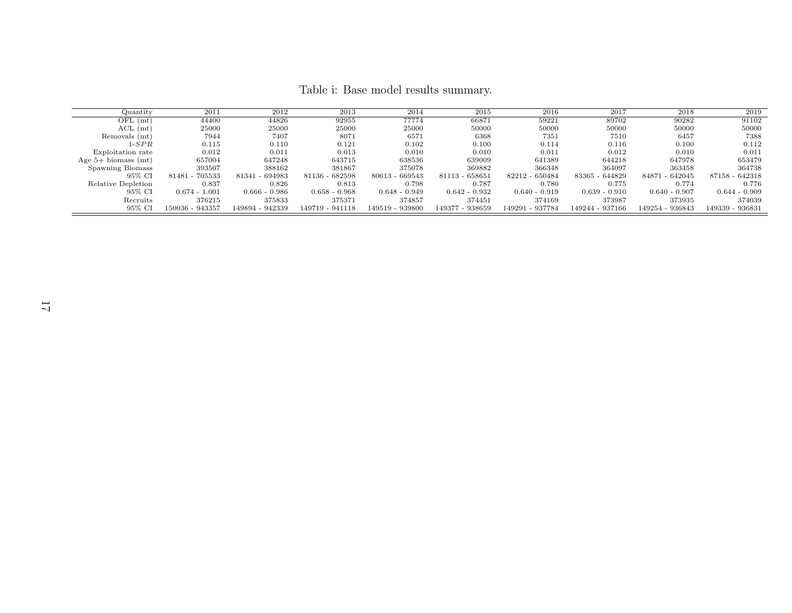Table i: Base model results summary.

| Quantity                | 2011            | 2012               | 2013            | 2014            | 2015            | 2016            | 2017            | 2018               | 2019            |
|-------------------------|-----------------|--------------------|-----------------|-----------------|-----------------|-----------------|-----------------|--------------------|-----------------|
| $OFL$ (mt)              | 44400           | 44826              | 92955           | 77774           | 66871           | 59221           | 89702           | 90282              | 91102           |
| $ACL$ (mt)              | 25000           | 25000              | 25000           | 25000           | 50000           | 50000           | 50000           | 50000              | 50000           |
| Removals (mt)           | 7944            | 7407               | 8071            | 6571            | 6368            | 7351            | 7510            | 6457               | 7388            |
| $1$ - $SPR$             | 0.115           | 0.110              | 0.121           | 0.102           | 0.100           | 0.114           | 0.116           | 0.100              | 0.112           |
| Exploitation rate       | 0.012           | 0.011              | 0.013           | 0.010           | 0.010           | 0.011           | 0.012           | 0.010              | 0.011           |
| Age $5+$ biomass $(mt)$ | 657004          | 647248             | 643715          | 638536          | 639009          | 641389          | 644218          | 647978             | 653479          |
| Spawning Biomass        | 393507          | 388162             | 381867          | 375078          | 369882          | 366348          | 364097          | 363458             | 364738          |
| 95% CI                  | 81481 - 705533  | $-694983$<br>81341 | 81136 - 682598  | 80613 - 669543  | 81113 - 658651  | 82212 - 650484  | 83365 - 644829  | $-642045$<br>84871 | 87158 - 642318  |
| Relative Depletion      | 0.837           | 0.826              | 0.813           | 0.798           | 0.787           | 0.780           | 0.775           | 0.774              | 0.776           |
| 95% CI                  | $0.674 - 1.001$ | $0.666 - 0.986$    | $0.658 - 0.968$ | $0.648 - 0.949$ | $0.642 - 0.932$ | $0.640 - 0.919$ | $0.639 - 0.910$ | $0.640 - 0.907$    | $0.644 - 0.909$ |
| Recruits                | 376215          | 375833             | 375371          | 374857          | 374451          | 374169          | 373987          | 373935             | 374039          |
| 95% CI                  | 150036 - 943357 | 149894 - 942339    | 149719 - 941118 | 149519 - 939800 | 149377 - 938659 | 149291 - 937784 | 149244 - 937166 | 149254 - 936843    | 149339 - 936831 |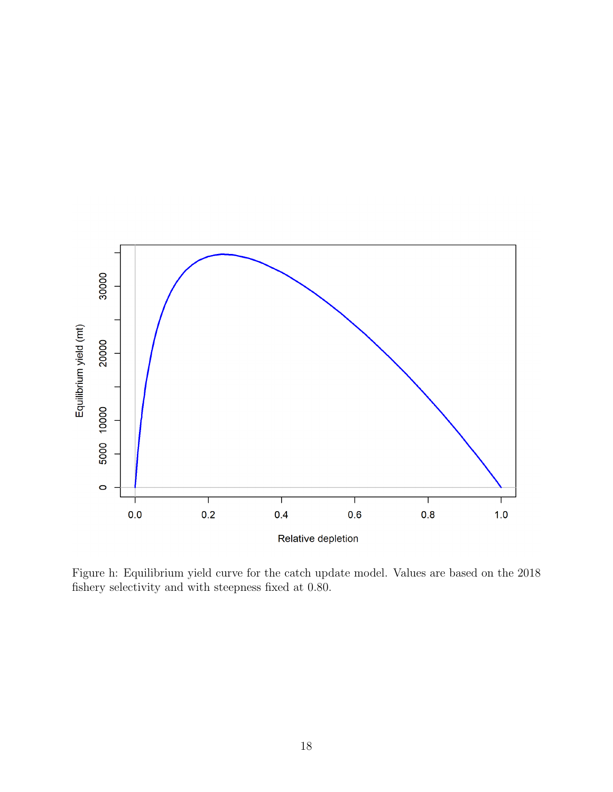

Figure h: Equilibrium yield curve for the catch update model. Values are based on the 2018 fishery selectivity and with steepness fixed at 0.80.